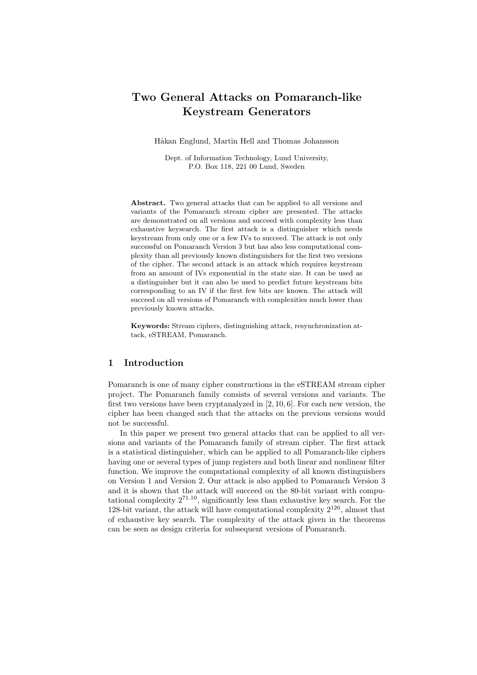# Two General Attacks on Pomaranch-like Keystream Generators

Håkan Englund, Martin Hell and Thomas Johansson

Dept. of Information Technology, Lund University, P.O. Box 118, 221 00 Lund, Sweden

Abstract. Two general attacks that can be applied to all versions and variants of the Pomaranch stream cipher are presented. The attacks are demonstrated on all versions and succeed with complexity less than exhaustive keysearch. The first attack is a distinguisher which needs keystream from only one or a few IVs to succeed. The attack is not only successful on Pomaranch Version 3 but has also less computational complexity than all previously known distinguishers for the first two versions of the cipher. The second attack is an attack which requires keystream from an amount of IVs exponential in the state size. It can be used as a distinguisher but it can also be used to predict future keystream bits corresponding to an IV if the first few bits are known. The attack will succeed on all versions of Pomaranch with complexities much lower than previously known attacks.

Keywords: Stream ciphers, distinguishing attack, resynchronization attack, eSTREAM, Pomaranch.

# 1 Introduction

Pomaranch is one of many cipher constructions in the eSTREAM stream cipher project. The Pomaranch family consists of several versions and variants. The first two versions have been cryptanalyzed in [2, 10, 6]. For each new version, the cipher has been changed such that the attacks on the previous versions would not be successful.

In this paper we present two general attacks that can be applied to all versions and variants of the Pomaranch family of stream cipher. The first attack is a statistical distinguisher, which can be applied to all Pomaranch-like ciphers having one or several types of jump registers and both linear and nonlinear filter function. We improve the computational complexity of all known distinguishers on Version 1 and Version 2. Our attack is also applied to Pomaranch Version 3 and it is shown that the attack will succeed on the 80-bit variant with computational complexity  $2^{71.10}$ , significantly less than exhaustive key search. For the 128-bit variant, the attack will have computational complexity  $2^{126}$ , almost that of exhaustive key search. The complexity of the attack given in the theorems can be seen as design criteria for subsequent versions of Pomaranch.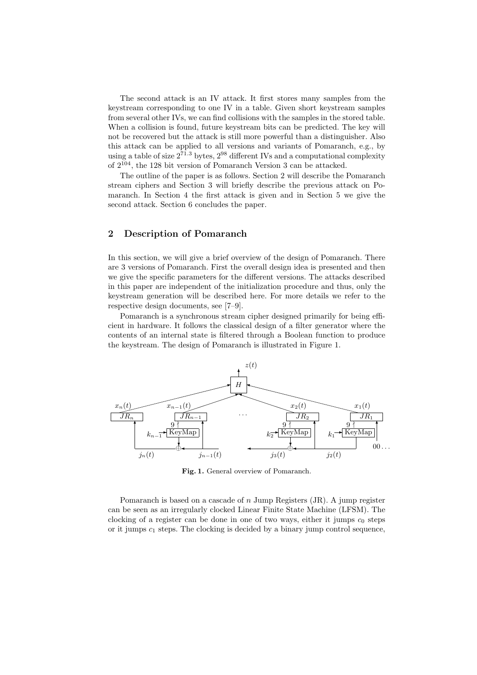The second attack is an IV attack. It first stores many samples from the keystream corresponding to one IV in a table. Given short keystream samples from several other IVs, we can find collisions with the samples in the stored table. When a collision is found, future keystream bits can be predicted. The key will not be recovered but the attack is still more powerful than a distinguisher. Also this attack can be applied to all versions and variants of Pomaranch, e.g., by using a table of size  $2^{71.3}$  bytes,  $2^{98}$  different IVs and a computational complexity of 2<sup>104</sup>, the 128 bit version of Pomaranch Version 3 can be attacked.

The outline of the paper is as follows. Section 2 will describe the Pomaranch stream ciphers and Section 3 will briefly describe the previous attack on Pomaranch. In Section 4 the first attack is given and in Section 5 we give the second attack. Section 6 concludes the paper.

# 2 Description of Pomaranch

In this section, we will give a brief overview of the design of Pomaranch. There are 3 versions of Pomaranch. First the overall design idea is presented and then we give the specific parameters for the different versions. The attacks described in this paper are independent of the initialization procedure and thus, only the keystream generation will be described here. For more details we refer to the respective design documents, see [7–9].

Pomaranch is a synchronous stream cipher designed primarily for being efficient in hardware. It follows the classical design of a filter generator where the contents of an internal state is filtered through a Boolean function to produce the keystream. The design of Pomaranch is illustrated in Figure 1.



Fig. 1. General overview of Pomaranch.

Pomaranch is based on a cascade of n Jump Registers (JR). A jump register can be seen as an irregularly clocked Linear Finite State Machine (LFSM). The clocking of a register can be done in one of two ways, either it jumps  $c_0$  steps or it jumps  $c_1$  steps. The clocking is decided by a binary jump control sequence,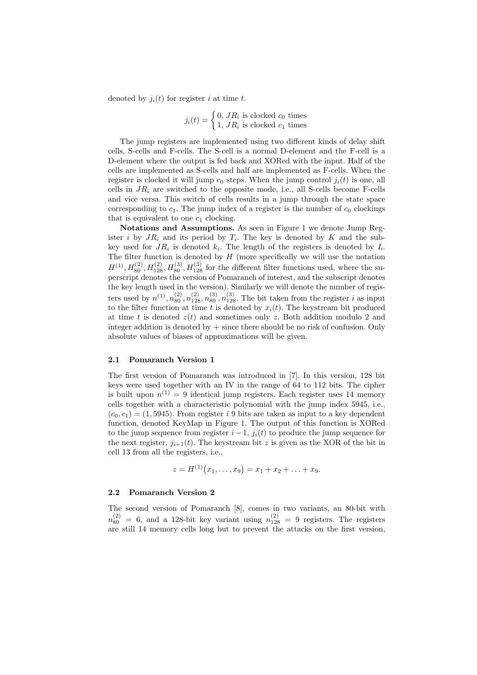denoted by  $j_i(t)$  for register i at time t.

$$
j_i(t) = \begin{cases} 0, JR_i \text{ is clocked } c_0 \text{ times} \\ 1, JR_i \text{ is clocked } c_1 \text{ times} \end{cases}
$$

The jump registers are implemented using two different kinds of delay shift cells, S-cells and F-cells. The S-cell is a normal D-element and the F-cell is a D-element where the output is fed back and XORed with the input. Half of the cells are implemented as S-cells and half are implemented as F-cells. When the register is clocked it will jump  $c_0$  steps. When the jump control  $j_i(t)$  is one, all cells in  $JR_i$  are switched to the opposite mode, i.e., all S-cells become F-cells and vice versa. This switch of cells results in a jump through the state space corresponding to  $c_1$ . The jump index of a register is the number of  $c_0$  clockings that is equivalent to one  $c_1$  clocking.

Notations and Assumptions. As seen in Figure 1 we denote Jump Register i by  $JR_i$  and its period by  $T_i$ . The key is denoted by K and the subkey used for  $JR_i$  is denoted  $k_i$ . The length of the registers is denoted by L. The filter function is denoted by  $H$  (more specifically we will use the notation  $H^{(1)}, H^{(2)}_{80}, H^{(2)}_{128}, H^{(3)}_{80}, H^{(3)}_{128}$  for the different filter functions used, where the superscript denotes the version of Pomaranch of interest, and the subscript denotes the key length used in the version). Similarly we will denote the number of registers used by  $n^{(1)}, n_{80}^{(2)}, n_{128}^{(2)}, n_{80}^{(3)}, n_{128}^{(3)}$ . The bit taken from the register *i* as input to the filter function at time t is denoted by  $x_i(t)$ . The keystream bit produced at time t is denoted  $z(t)$  and sometimes only z. Both addition modulo 2 and integer addition is denoted by  $+$  since there should be no risk of confusion. Only absolute values of biases of approximations will be given.

#### 2.1 Pomaranch Version 1

The first version of Pomaranch was introduced in [7]. In this version, 128 bit keys were used together with an IV in the range of 64 to 112 bits. The cipher is built upon  $n^{(1)} = 9$  identical jump registers. Each register uses 14 memory cells together with a characteristic polynomial with the jump index 5945, i.e.,  $(c_0, c_1) = (1, 5945)$ . From register i 9 bits are taken as input to a key dependent function, denoted KeyMap in Figure 1. The output of this function is XORed to the jump sequence from register  $i - 1$ ,  $j_i(t)$  to produce the jump sequence for the next register,  $j_{i+1}(t)$ . The keystream bit z is given as the XOR of the bit in cell 13 from all the registers, i.e.,

$$
z = H^{(1)}(x_1, \ldots, x_9) = x_1 + x_2 + \ldots + x_9.
$$

#### 2.2 Pomaranch Version 2

The second version of Pomaranch [8], comes in two variants, an 80-bit with  $n_{80}^{(2)} = 6$ , and a 128-bit key variant using  $n_{128}^{(2)} = 9$  registers. The registers are still 14 memory cells long but to prevent the attacks on the first version,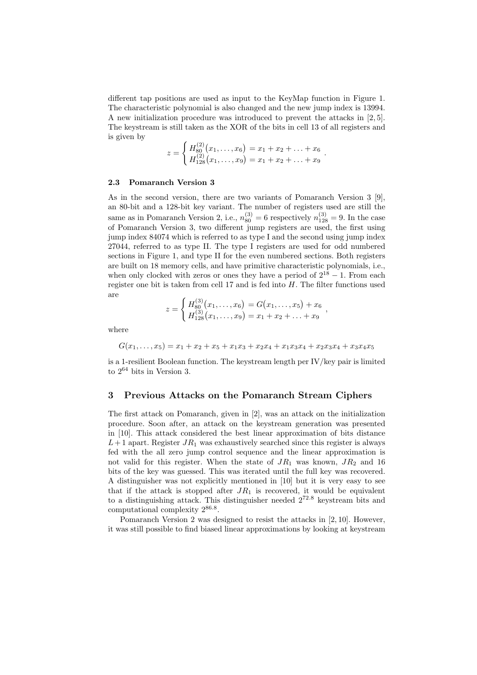different tap positions are used as input to the KeyMap function in Figure 1. The characteristic polynomial is also changed and the new jump index is 13994. A new initialization procedure was introduced to prevent the attacks in [2, 5]. The keystream is still taken as the XOR of the bits in cell 13 of all registers and is given by  $\overline{a}$ 

$$
z = \begin{cases} H_{80}^{(2)}(x_1, \dots, x_6) = x_1 + x_2 + \dots + x_6 \\ H_{128}^{(2)}(x_1, \dots, x_9) = x_1 + x_2 + \dots + x_9 \end{cases}
$$

.

,

#### 2.3 Pomaranch Version 3

As in the second version, there are two variants of Pomaranch Version 3 [9], an 80-bit and a 128-bit key variant. The number of registers used are still the same as in Pomaranch Version 2, i.e.,  $n_{80}^{(3)} = 6$  respectively  $n_{128}^{(3)} = 9$ . In the case of Pomaranch Version 3, two different jump registers are used, the first using jump index 84074 which is referred to as type I and the second using jump index 27044, referred to as type II. The type I registers are used for odd numbered sections in Figure 1, and type II for the even numbered sections. Both registers are built on 18 memory cells, and have primitive characteristic polynomials, i.e., when only clocked with zeros or ones they have a period of  $2^{18} - 1$ . From each register one bit is taken from cell  $17$  and is fed into  $H$ . The filter functions used are  $\overline{a}$ 

$$
z = \begin{cases} H_{80}^{(3)}(x_1, \dots, x_6) = G(x_1, \dots, x_5) + x_6 \\ H_{128}^{(3)}(x_1, \dots, x_9) = x_1 + x_2 + \dots + x_9 \end{cases}
$$

where

 $G(x_1, \ldots, x_5) = x_1 + x_2 + x_5 + x_1x_3 + x_2x_4 + x_1x_3x_4 + x_2x_3x_4 + x_3x_4x_5$ 

is a 1-resilient Boolean function. The keystream length per IV/key pair is limited to  $2^{64}$  bits in Version 3.

### 3 Previous Attacks on the Pomaranch Stream Ciphers

The first attack on Pomaranch, given in [2], was an attack on the initialization procedure. Soon after, an attack on the keystream generation was presented in [10]. This attack considered the best linear approximation of bits distance  $L+1$  apart. Register  $JR_1$  was exhaustively searched since this register is always fed with the all zero jump control sequence and the linear approximation is not valid for this register. When the state of  $JR_1$  was known,  $JR_2$  and 16 bits of the key was guessed. This was iterated until the full key was recovered. A distinguisher was not explicitly mentioned in [10] but it is very easy to see that if the attack is stopped after  $JR_1$  is recovered, it would be equivalent to a distinguishing attack. This distinguisher needed  $2^{72.8}$  keystream bits and computational complexity  $2^{86.8}$ .

Pomaranch Version 2 was designed to resist the attacks in [2, 10]. However, it was still possible to find biased linear approximations by looking at keystream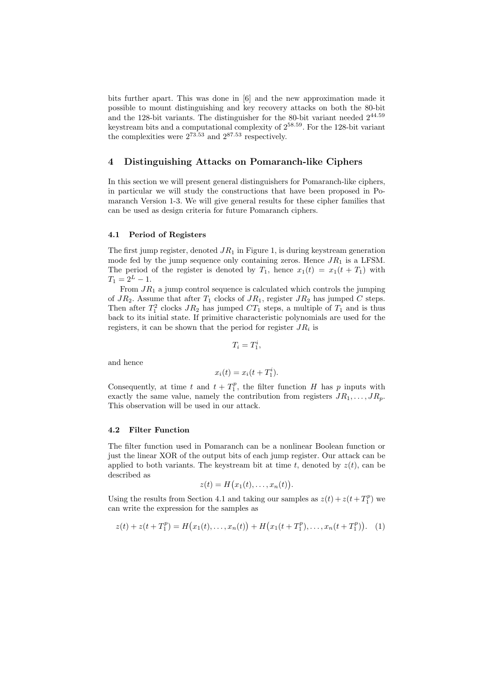bits further apart. This was done in [6] and the new approximation made it possible to mount distinguishing and key recovery attacks on both the 80-bit and the 128-bit variants. The distinguisher for the 80-bit variant needed  $2^{44.59}$ keystream bits and a computational complexity of  $2^{58.59}$ . For the 128-bit variant the complexities were  $2^{73.53}$  and  $2^{87.53}$  respectively.

# 4 Distinguishing Attacks on Pomaranch-like Ciphers

In this section we will present general distinguishers for Pomaranch-like ciphers, in particular we will study the constructions that have been proposed in Pomaranch Version 1-3. We will give general results for these cipher families that can be used as design criteria for future Pomaranch ciphers.

#### 4.1 Period of Registers

The first jump register, denoted  $JR_1$  in Figure 1, is during keystream generation mode fed by the jump sequence only containing zeros. Hence  $JR_1$  is a LFSM. The period of the register is denoted by  $T_1$ , hence  $x_1(t) = x_1(t + T_1)$  with  $T_1 = 2^L - 1.$ 

From  $JR_1$  a jump control sequence is calculated which controls the jumping of  $JR_2$ . Assume that after  $T_1$  clocks of  $JR_1$ , register  $JR_2$  has jumped C steps. Then after  $T_1^2$  clocks  $JR_2$  has jumped  $CT_1$  steps, a multiple of  $T_1$  and is thus back to its initial state. If primitive characteristic polynomials are used for the registers, it can be shown that the period for register  $JR_i$  is

$$
T_i = T_1^i,
$$

and hence

$$
x_i(t) = x_i(t + T_1^i).
$$

Consequently, at time t and  $t + T_1^p$ , the filter function H has p inputs with exactly the same value, namely the contribution from registers  $JR_1, \ldots, JR_p$ . This observation will be used in our attack.

#### 4.2 Filter Function

The filter function used in Pomaranch can be a nonlinear Boolean function or just the linear XOR of the output bits of each jump register. Our attack can be applied to both variants. The keystream bit at time t, denoted by  $z(t)$ , can be described as ¡ ¢

$$
z(t) = H\big(x_1(t), \ldots, x_n(t)\big).
$$

Using the results from Section 4.1 and taking our samples as  $z(t) + z(t + T_1^p)$  we can write the expression for the samples as

$$
z(t) + z(t+T_1^p) = H(x_1(t),...,x_n(t)) + H(x_1(t+T_1^p),...,x_n(t+T_1^p)).
$$
 (1)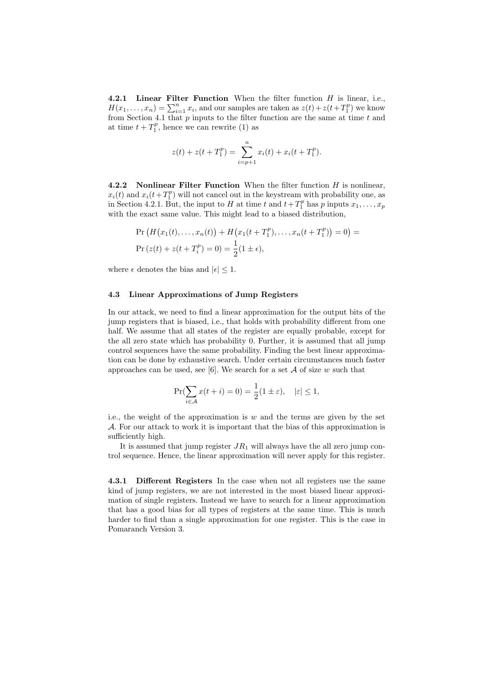**4.2.1 Linear Filter Function** When the filter function  $H$  is linear, i.e., 4.2.1 **Linear Filter Function** when the inter-function H is linear, i.e.,  $H(x_1, \ldots, x_n) = \sum_{i=1}^n x_i$ , and our samples are taken as  $z(t) + z(t + T_1^p)$  we know from Section 4.1 that  $p$  inputs to the filter function are the same at time  $t$  and at time  $t + T_1^p$ , hence we can rewrite (1) as

$$
z(t) + z(t + T_1^p) = \sum_{i=p+1}^n x_i(t) + x_i(t + T_1^p).
$$

4.2.2 Nonlinear Filter Function When the filter function  $H$  is nonlinear,  $x_i(t)$  and  $x_i(t+T_1^p)$  will not cancel out in the keystream with probability one, as in Section 4.2.1. But, the input to H at time t and  $t + T_1^p$  has p inputs  $x_1, \ldots, x_p$ with the exact same value. This might lead to a biased distribution,

$$
\Pr(H(x_1(t),...,x_n(t)) + H(x_1(t+T_1^p),...,x_n(t+T_1^p)) = 0) =
$$
  

$$
\Pr(z(t) + z(t+T_i^p) = 0) = \frac{1}{2}(1 \pm \epsilon),
$$

where  $\epsilon$  denotes the bias and  $|\epsilon| \leq 1$ .

# 4.3 Linear Approximations of Jump Registers

In our attack, we need to find a linear approximation for the output bits of the jump registers that is biased, i.e., that holds with probability different from one half. We assume that all states of the register are equally probable, except for the all zero state which has probability 0. Further, it is assumed that all jump control sequences have the same probability. Finding the best linear approximation can be done by exhaustive search. Under certain circumstances much faster approaches can be used, see [6]. We search for a set  $A$  of size w such that

$$
\Pr(\sum_{i \in \mathcal{A}} x(t+i) = 0) = \frac{1}{2}(1 \pm \varepsilon), \quad |\varepsilon| \le 1,
$$

i.e., the weight of the approximation is  $w$  and the terms are given by the set A. For our attack to work it is important that the bias of this approximation is sufficiently high.

It is assumed that jump register  $JR_1$  will always have the all zero jump control sequence. Hence, the linear approximation will never apply for this register.

4.3.1 Different Registers In the case when not all registers use the same kind of jump registers, we are not interested in the most biased linear approximation of single registers. Instead we have to search for a linear approximation that has a good bias for all types of registers at the same time. This is much harder to find than a single approximation for one register. This is the case in Pomaranch Version 3.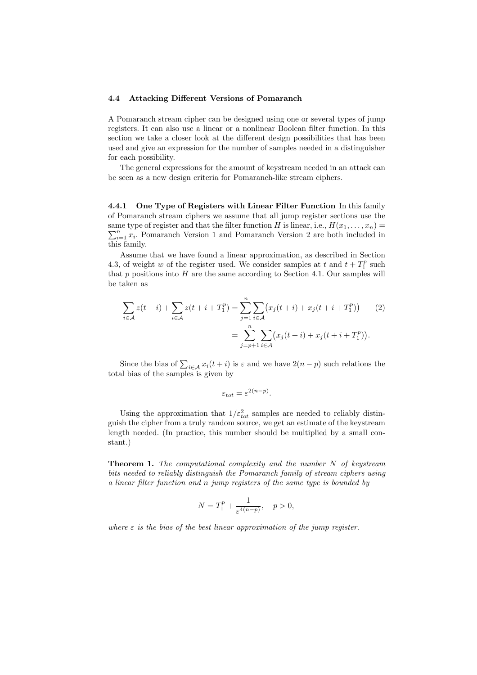#### 4.4 Attacking Different Versions of Pomaranch

A Pomaranch stream cipher can be designed using one or several types of jump registers. It can also use a linear or a nonlinear Boolean filter function. In this section we take a closer look at the different design possibilities that has been used and give an expression for the number of samples needed in a distinguisher for each possibility.

The general expressions for the amount of keystream needed in an attack can be seen as a new design criteria for Pomaranch-like stream ciphers.

4.4.1 One Type of Registers with Linear Filter Function In this family of Pomaranch stream ciphers we assume that all jump register sections use the same type of register and that the filter function H is linear, i.e.,  $H(x_1, \ldots, x_n) = \sum_{k=1}^{n}$  $\sum_{i=1}^{n} x_i$ . Pomaranch Version 1 and Pomaranch Version 2 are both included in this family.

Assume that we have found a linear approximation, as described in Section 4.3, of weight w of the register used. We consider samples at t and  $t + T_1^p$  such that  $p$  positions into  $H$  are the same according to Section 4.1. Our samples will be taken as

$$
\sum_{i \in \mathcal{A}} z(t+i) + \sum_{i \in \mathcal{A}} z(t+i+T_1^p) = \sum_{j=1}^n \sum_{i \in \mathcal{A}} (x_j(t+i) + x_j(t+i+T_1^p)) \tag{2}
$$
\n
$$
= \sum_{j=p+1}^n \sum_{i \in \mathcal{A}} (x_j(t+i) + x_j(t+i+T_1^p)).
$$

Since the bias of  $\sum_{i \in \mathcal{A}} x_i(t+i)$  is  $\varepsilon$  and we have  $2(n-p)$  such relations the total bias of the samples is given by

$$
\varepsilon_{tot} = \varepsilon^{2(n-p)}.
$$

Using the approximation that  $1/\varepsilon_{tot}^2$  samples are needed to reliably distinguish the cipher from a truly random source, we get an estimate of the keystream length needed. (In practice, this number should be multiplied by a small constant.)

**Theorem 1.** The computational complexity and the number  $N$  of keystream bits needed to reliably distinguish the Pomaranch family of stream ciphers using a linear filter function and n jump registers of the same type is bounded by

$$
N = T_1^p + \frac{1}{\varepsilon^{4(n-p)}}, \quad p > 0,
$$

where  $\varepsilon$  is the bias of the best linear approximation of the jump register.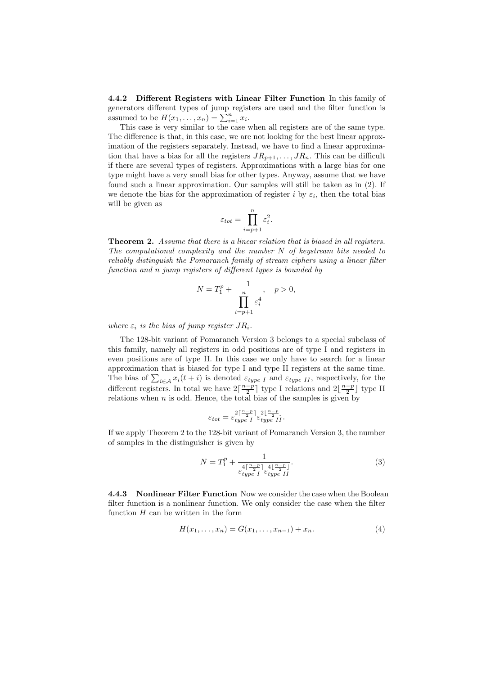4.4.2 Different Registers with Linear Filter Function In this family of generators different types of jump registers are used and the filter function is assumed to be  $H(x_1,...,x_n) = \sum_{i=1}^n x_i$ .

This case is very similar to the case when all registers are of the same type. The difference is that, in this case, we are not looking for the best linear approximation of the registers separately. Instead, we have to find a linear approximation that have a bias for all the registers  $JR_{p+1}, \ldots, JR_n$ . This can be difficult if there are several types of registers. Approximations with a large bias for one type might have a very small bias for other types. Anyway, assume that we have found such a linear approximation. Our samples will still be taken as in (2). If we denote the bias for the approximation of register i by  $\varepsilon_i$ , then the total bias will be given as

$$
\varepsilon_{tot} = \prod_{i=p+1}^{n} \varepsilon_i^2.
$$

Theorem 2. Assume that there is a linear relation that is biased in all registers. The computational complexity and the number  $N$  of keystream bits needed to reliably distinguish the Pomaranch family of stream ciphers using a linear filter function and n jump registers of different types is bounded by

$$
N = T_1^p + \frac{1}{\prod_{i=p+1}^n \varepsilon_i^4}, \quad p > 0,
$$

where  $\varepsilon_i$  is the bias of jump register  $JR_i$ .

The 128-bit variant of Pomaranch Version 3 belongs to a special subclass of this family, namely all registers in odd positions are of type I and registers in even positions are of type II. In this case we only have to search for a linear approximation that is biased for type I and type II registers at the same time. approximation that is blased for type I and type II registers at the same time.<br>The bias of  $\sum_{i \in \mathcal{A}} x_i(t + i)$  is denoted  $\varepsilon_{type\ I}$  and  $\varepsilon_{type\ II}$ , respectively, for the different registers. In total we have  $2\lceil \frac{n-p}{2} \rceil$  type I relations and  $2\lfloor \frac{n-p}{2} \rfloor$  type II relations when  $n$  is odd. Hence, the total bias of the samples is given by

$$
\varepsilon_{tot} = \varepsilon_{type\ I}^{2\lceil\frac{n-p}{2}\rceil} \varepsilon_{type\ II}^{2\lfloor\frac{n-p}{2}\rfloor}.
$$

If we apply Theorem 2 to the 128-bit variant of Pomaranch Version 3, the number of samples in the distinguisher is given by

$$
N = T_1^p + \frac{1}{\varepsilon_{type}^{4\lceil \frac{n-p}{2} \rceil} \varepsilon_{type}^{4\lfloor \frac{n-p}{2} \rfloor}}.
$$
\n(3)

4.4.3 Nonlinear Filter Function Now we consider the case when the Boolean filter function is a nonlinear function. We only consider the case when the filter function  $H$  can be written in the form

$$
H(x_1, \ldots, x_n) = G(x_1, \ldots, x_{n-1}) + x_n.
$$
\n(4)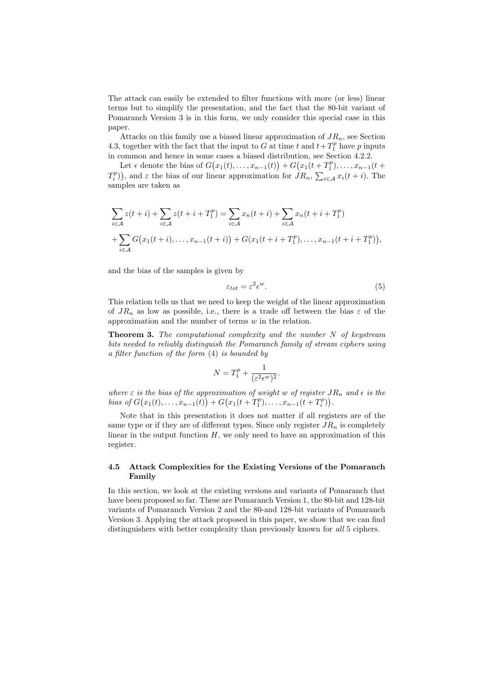The attack can easily be extended to filter functions with more (or less) linear terms but to simplify the presentation, and the fact that the 80-bit variant of Pomaranch Version 3 is in this form, we only consider this special case in this paper.

Attacks on this family use a biased linear approximation of  $JR_n$ , see Section 4.3, together with the fact that the input to G at time t and  $t + T_1^p$  have p inputs in common and hence in some cases a biased distribution, see Section 4.2.2.

Let  $\epsilon$  denote the bias of  $G(x_1(t),...,x_{n-1}(t)) + G(x_1(t+T_1^p),...,x_{n-1}(t+T_n^p))$  $(T_i^p)$ , and  $\varepsilon$  the bias of our linear approximation for  $\overline{J}R_n$ ,  $\sum_{i\in\mathcal{A}}x_i(t+i)$ . The samples are taken as

$$
\sum_{i \in \mathcal{A}} z(t+i) + \sum_{i \in \mathcal{A}} z(t+i+T_1^p) = \sum_{i \in \mathcal{A}} x_n(t+i) + \sum_{i \in \mathcal{A}} x_n(t+i+T_1^p) + \sum_{i \in \mathcal{A}} G(x_1(t+i), \dots, x_{n-1}(t+i)) + G(x_1(t+i+T_1^p), \dots, x_{n-1}(t+i+T_1^p)),
$$

and the bias of the samples is given by

$$
\varepsilon_{tot} = \varepsilon^2 \epsilon^w. \tag{5}
$$

This relation tells us that we need to keep the weight of the linear approximation of  $JR_n$  as low as possible, i.e., there is a trade off between the bias  $\varepsilon$  of the approximation and the number of terms w in the relation.

**Theorem 3.** The computational complexity and the number  $N$  of keystream bits needed to reliably distinguish the Pomaranch family of stream ciphers using a filter function of the form (4) is bounded by

$$
N = T_1^p + \frac{1}{(\varepsilon^2 \epsilon^w)^2}.
$$

where  $\varepsilon$  is the bias of the approximation of weight w of register  $JR_n$  and  $\epsilon$  is the bias of  $G(x_1(t),...,x_{n-1}(t)) + G(x_1(t+T_1^p),...,x_{n-1}(t+T_i^p)).$ 

Note that in this presentation it does not matter if all registers are of the same type or if they are of different types. Since only register  $JR_n$  is completely linear in the output function  $H$ , we only need to have an approximation of this register.

### 4.5 Attack Complexities for the Existing Versions of the Pomaranch Family

In this section, we look at the existing versions and variants of Pomaranch that have been proposed so far. These are Pomaranch Version 1, the 80-bit and 128-bit variants of Pomaranch Version 2 and the 80-and 128-bit variants of Pomaranch Version 3. Applying the attack proposed in this paper, we show that we can find distinguishers with better complexity than previously known for all 5 ciphers.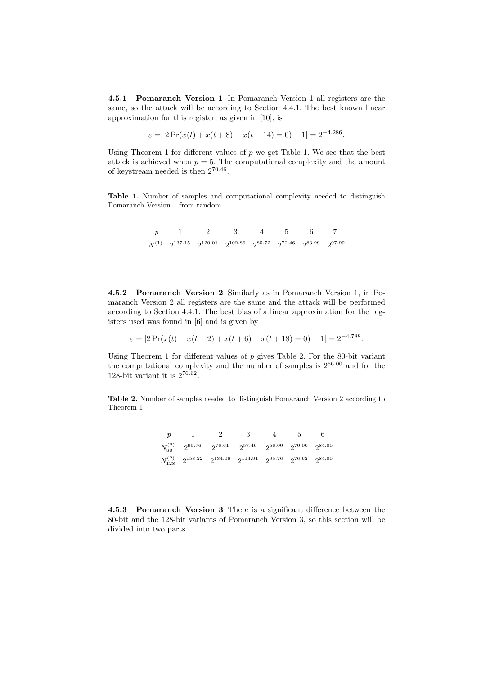4.5.1 Pomaranch Version 1 In Pomaranch Version 1 all registers are the same, so the attack will be according to Section 4.4.1. The best known linear approximation for this register, as given in [10], is

$$
\varepsilon = |2\Pr(x(t) + x(t+8) + x(t+14)) = 0) - 1| = 2^{-4.286}.
$$

Using Theorem 1 for different values of  $p$  we get Table 1. We see that the best attack is achieved when  $p = 5$ . The computational complexity and the amount of keystream needed is then 2<sup>70</sup>.<sup>46</sup> .

Table 1. Number of samples and computational complexity needed to distinguish Pomaranch Version 1 from random.

$$
\begin{array}{c|ccccccccc} p & 1 & 2 & 3 & 4 & 5 & 6 & 7 \\ \hline N^{(1)} & 2^{137.15} & 2^{120.01} & 2^{102.86} & 2^{85.72} & 2^{70.46} & 2^{83.99} & 2^{97.99} \end{array}
$$

4.5.2 Pomaranch Version 2 Similarly as in Pomaranch Version 1, in Pomaranch Version 2 all registers are the same and the attack will be performed according to Section 4.4.1. The best bias of a linear approximation for the registers used was found in [6] and is given by

$$
\varepsilon = |2\Pr(x(t) + x(t+2) + x(t+6) + x(t+18)| = 0) - 1| = 2^{-4.788}.
$$

Using Theorem 1 for different values of  $p$  gives Table 2. For the 80-bit variant the computational complexity and the number of samples is  $2^{56.00}$  and for the 128-bit variant it is  $2^{76.62}$ .

Table 2. Number of samples needed to distinguish Pomaranch Version 2 according to Theorem 1.

|  | $p$   1 2 3 4 5                                                                                                                                                              |  |  |
|--|------------------------------------------------------------------------------------------------------------------------------------------------------------------------------|--|--|
|  | $N_{80}^{(2)} \left  \begin{array}{l} 2^{95.76} \end{array} \right. \quad 2^{76.61} \quad \quad 2^{57.46} \quad \quad 2^{56.00} \quad \quad 2^{70.00} \quad \quad 2^{84.00}$ |  |  |
|  | $N_{128}^{(2)} \left  \begin{array}{ccc} 2^{153.22} & 2^{134.06} & 2^{114.91} & 2^{95.76} & 2^{76.62} & 2^{84.00} \end{array} \right.$                                       |  |  |

4.5.3 Pomaranch Version 3 There is a significant difference between the 80-bit and the 128-bit variants of Pomaranch Version 3, so this section will be divided into two parts.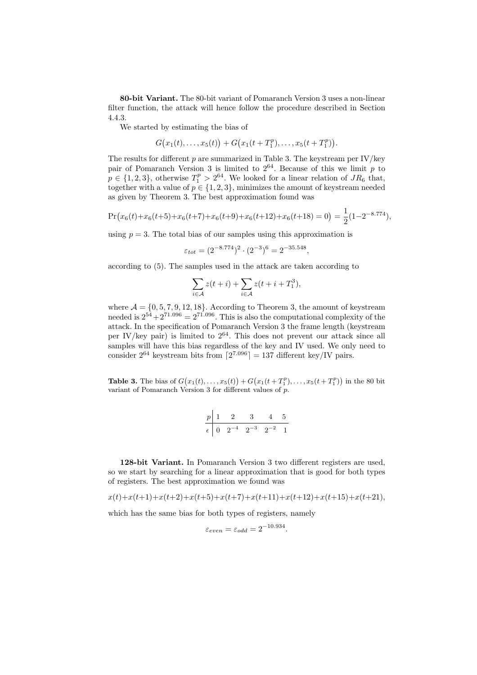80-bit Variant. The 80-bit variant of Pomaranch Version 3 uses a non-linear filter function, the attack will hence follow the procedure described in Section 4.4.3.

We started by estimating the bias of

$$
G(x_1(t),...,x_5(t)) + G(x_1(t+T_1^p),...,x_5(t+T_1^p)).
$$

The results for different  $p$  are summarized in Table 3. The keystream per IV/key pair of Pomaranch Version 3 is limited to  $2^{64}$ . Because of this we limit p to  $p \in \{1, 2, 3\}$ , otherwise  $T_1^p > 2^{64}$ . We looked for a linear relation of  $JR_6$  that, together with a value of  $p \in \{1, 2, 3\}$ , minimizes the amount of keystream needed as given by Theorem 3. The best approximation found was

$$
Pr(x_6(t) + x_6(t+5) + x_6(t+7) + x_6(t+9) + x_6(t+12) + x_6(t+18) = 0) = \frac{1}{2}(1 - 2^{-8.774}),
$$

using  $p = 3$ . The total bias of our samples using this approximation is

$$
\varepsilon_{tot} = (2^{-8.774})^2 \cdot (2^{-3})^6 = 2^{-35.548}
$$

,

according to (5). The samples used in the attack are taken according to

$$
\sum_{i \in \mathcal{A}} z(t+i) + \sum_{i \in \mathcal{A}} z(t+i+T_1^3),
$$

where  $\mathcal{A} = \{0, 5, 7, 9, 12, 18\}$ . According to Theorem 3, the amount of keystream needed is  $2^{54} + 2^{71.096} = 2^{71.096}$ . This is also the computational complexity of the attack. In the specification of Pomaranch Version 3 the frame length (keystream per IV/key pair) is limited to  $2^{64}$ . This does not prevent our attack since all samples will have this bias regardless of the key and IV used. We only need to consider  $2^{64}$  keystream bits from  $\lceil 2^{7.096} \rceil = 137$  different key/IV pairs.

**Table 3.** The bias of  $G(x_1(t),...,x_5(t)) + G(x_1(t+T_1^p),...,x_5(t+T_1^p))$  in the 80 bit variant of Pomaranch Version 3 for different values of p.

$$
\begin{array}{c|cccc}\np & 1 & 2 & 3 & 4 & 5 \\
\hline\n\epsilon & 0 & 2^{-4} & 2^{-3} & 2^{-2} & 1\n\end{array}
$$

128-bit Variant. In Pomaranch Version 3 two different registers are used, so we start by searching for a linear approximation that is good for both types of registers. The best approximation we found was

$$
x(t)+x(t+1)+x(t+2)+x(t+5)+x(t+7)+x(t+11)+x(t+12)+x(t+15)+x(t+21),\\
$$

which has the same bias for both types of registers, namely

$$
\varepsilon_{even} = \varepsilon_{odd} = 2^{-10.934}
$$

.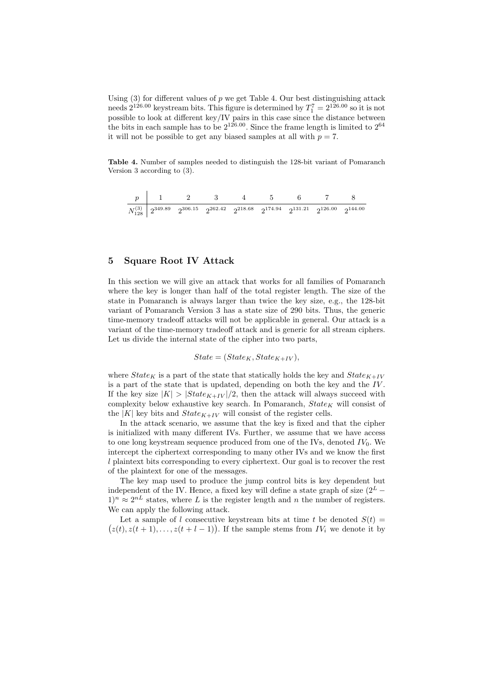Using  $(3)$  for different values of p we get Table 4. Our best distinguishing attack needs  $2^{126.00}$  keystream bits. This figure is determined by  $T_1^7 = 2^{126.00}$  so it is not possible to look at different key/IV pairs in this case since the distance between the bits in each sample has to be  $2^{126.00}$ . Since the frame length is limited to  $2^{64}$ it will not be possible to get any biased samples at all with  $p = 7$ .

Table 4. Number of samples needed to distinguish the 128-bit variant of Pomaranch Version 3 according to (3).



# 5 Square Root IV Attack

In this section we will give an attack that works for all families of Pomaranch where the key is longer than half of the total register length. The size of the state in Pomaranch is always larger than twice the key size, e.g., the 128-bit variant of Pomaranch Version 3 has a state size of 290 bits. Thus, the generic time-memory tradeoff attacks will not be applicable in general. Our attack is a variant of the time-memory tradeoff attack and is generic for all stream ciphers. Let us divide the internal state of the cipher into two parts,

$$
State = (State_K, State_{K+IV}),
$$

where  $State_K$  is a part of the state that statically holds the key and  $State_{K+IV}$ is a part of the state that is updated, depending on both the key and the  $IV$ . If the key size  $|K| > |State_{K+IV}|/2$ , then the attack will always succeed with complexity below exhaustive key search. In Pomaranch,  $State_K$  will consist of the |K| key bits and  $State_{K+IV}$  will consist of the register cells.

In the attack scenario, we assume that the key is fixed and that the cipher is initialized with many different IVs. Further, we assume that we have access to one long keystream sequence produced from one of the IVs, denoted  $IV_0$ . We intercept the ciphertext corresponding to many other IVs and we know the first l plaintext bits corresponding to every ciphertext. Our goal is to recover the rest of the plaintext for one of the messages.

The key map used to produce the jump control bits is key dependent but independent of the IV. Hence, a fixed key will define a state graph of size  $(2^L 1)^n \approx 2^{nL}$  states, where L is the register length and n the number of registers. We can apply the following attack.

Let a sample of l consecutive keystream bits at time t be denoted  $S(t)$  = Let a sample of l consecutive keystream bits at time t be denoted  $S(t) = (z(t), z(t+1), \ldots, z(t+l-1))$ . If the sample stems from  $IV_i$  we denote it by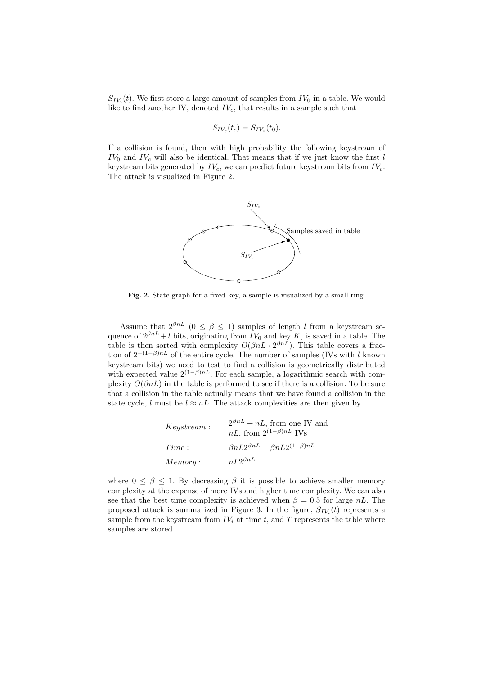$S_{IV_i}(t)$ . We first store a large amount of samples from  $IV_0$  in a table. We would like to find another IV, denoted  $IV_c$ , that results in a sample such that

$$
S_{IV_c}(t_c) = S_{IV_0}(t_0).
$$

If a collision is found, then with high probability the following keystream of  $IV_0$  and  $IV_c$  will also be identical. That means that if we just know the first l keystream bits generated by  $IV_c$ , we can predict future keystream bits from  $IV_c$ . The attack is visualized in Figure 2.



Fig. 2. State graph for a fixed key, a sample is visualized by a small ring.

Assume that  $2^{\beta nL}$  ( $0 \leq \beta \leq 1$ ) samples of length l from a keystream sequence of  $2^{\beta nL} + l$  bits, originating from  $IV_0$  and key K, is saved in a table. The table is then sorted with complexity  $O(\beta n L \cdot 2^{\beta n L})$ . This table covers a fraction of  $2^{-(1-\beta)nL}$  of the entire cycle. The number of samples (IVs with l known keystream bits) we need to test to find a collision is geometrically distributed with expected value  $2^{(1-\beta)nL}$ . For each sample, a logarithmic search with complexity  $O(\beta nL)$  in the table is performed to see if there is a collision. To be sure that a collision in the table actually means that we have found a collision in the state cycle, l must be  $l \approx nL$ . The attack complexities are then given by

| Keystream: | $2^{\beta nL} + nL$ , from one IV and<br>$nL$ , from $2^{(1-\beta)nL}$ IVs |
|------------|----------------------------------------------------------------------------|
| Time:      | $\beta n L 2^{\beta nL} + \beta n L 2^{(1-\beta)nL}$                       |
| Memory:    | $nL2^{\beta nL}$                                                           |

where  $0 \leq \beta \leq 1$ . By decreasing  $\beta$  it is possible to achieve smaller memory complexity at the expense of more IVs and higher time complexity. We can also see that the best time complexity is achieved when  $\beta = 0.5$  for large nL. The proposed attack is summarized in Figure 3. In the figure,  $S_{IV_i}(t)$  represents a sample from the keystream from  $IV_i$  at time t, and T represents the table where samples are stored.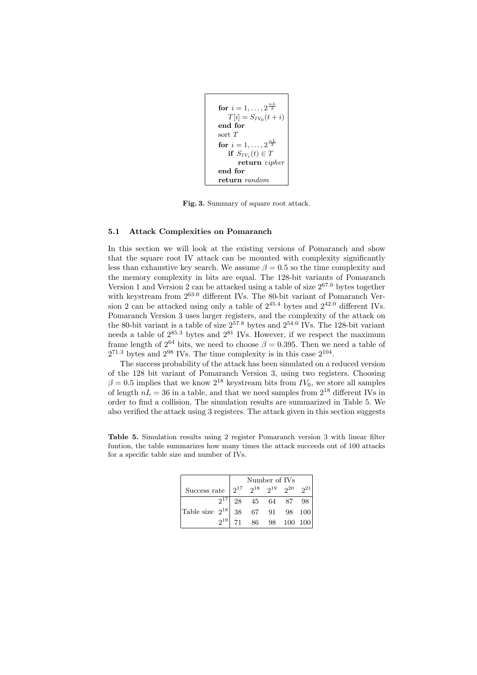$$
\begin{array}{ll}\n\textbf{for } i = 1, \ldots, 2^{\frac{nL}{2}} \\
T[i] = S_{IV_0}(t + i) \\
\textbf{end for} \\
\text{sort } T \\
\textbf{for } i = 1, \ldots, 2^{\frac{nL}{2}} \\
\textbf{if } S_{IV_i}(t) \in T \\
\textbf{return } cipher \\
\textbf{end for} \\
\textbf{return } random\n\end{array}
$$

Fig. 3. Summary of square root attack.

### 5.1 Attack Complexities on Pomaranch

In this section we will look at the existing versions of Pomaranch and show that the square root IV attack can be mounted with complexity significantly less than exhaustive key search. We assume  $\beta = 0.5$  so the time complexity and the memory complexity in bits are equal. The 128-bit variants of Pomaranch Version 1 and Version 2 can be attacked using a table of size  $2^{67.0}$  bytes together with keystream from  $2^{63.0}$  different IVs. The 80-bit variant of Pomaranch Version 2 can be attacked using only a table of  $2^{45.4}$  bytes and  $2^{42.0}$  different IVs. Pomaranch Version 3 uses larger registers, and the complexity of the attack on the 80-bit variant is a table of size  $2^{57.8}$  bytes and  $2^{54.0}$  IVs. The 128-bit variant needs a table of  $2^{85.3}$  bytes and  $2^{81}$  IVs. However, if we respect the maximum frame length of  $2^{64}$  bits, we need to choose  $\beta = 0.395$ . Then we need a table of  $2^{71.3}$  bytes and  $2^{98}$  IVs. The time complexity is in this case  $2^{104}$ .

The success probability of the attack has been simulated on a reduced version of the 128 bit variant of Pomaranch Version 3, using two registers. Choosing  $\beta = 0.5$  implies that we know  $2^{18}$  keystream bits from  $IV_0$ , we store all samples of length  $nL = 36$  in a table, and that we need samples from  $2^{18}$  different IVs in order to find a collision. The simulation results are summarized in Table 5. We also verified the attack using 3 registers. The attack given in this section suggests

Table 5. Simulation results using 2 register Pomaranch version 3 with linear filter funtion, the table summarizes how many times the attack succeeds out of 100 attacks for a specific table size and number of IVs.

|                                                            |  | Number of IVs |                         |            |  |
|------------------------------------------------------------|--|---------------|-------------------------|------------|--|
| Success rate $ 2^{17} \t2^{18} \t2^{19} \t2^{20} \t2^{21}$ |  |               |                         |            |  |
|                                                            |  |               | $2^{17}$ 28 45 64 87 98 |            |  |
| Table size $2^{18}$ 38 67 91 98 100                        |  |               |                         |            |  |
|                                                            |  |               | 86                      | 98 100 100 |  |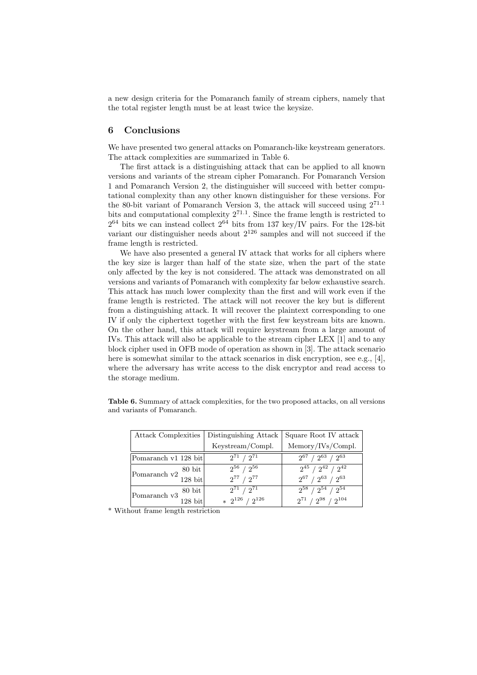a new design criteria for the Pomaranch family of stream ciphers, namely that the total register length must be at least twice the keysize.

# 6 Conclusions

We have presented two general attacks on Pomaranch-like keystream generators. The attack complexities are summarized in Table 6.

The first attack is a distinguishing attack that can be applied to all known versions and variants of the stream cipher Pomaranch. For Pomaranch Version 1 and Pomaranch Version 2, the distinguisher will succeed with better computational complexity than any other known distinguisher for these versions. For the 80-bit variant of Pomaranch Version 3, the attack will succeed using 2<sup>71</sup>.<sup>1</sup> bits and computational complexity  $2^{71.1}$ . Since the frame length is restricted to  $2^{64}$  bits we can instead collect  $2^{64}$  bits from 137 key/IV pairs. For the 128-bit variant our distinguisher needs about  $2^{126}$  samples and will not succeed if the frame length is restricted.

We have also presented a general IV attack that works for all ciphers where the key size is larger than half of the state size, when the part of the state only affected by the key is not considered. The attack was demonstrated on all versions and variants of Pomaranch with complexity far below exhaustive search. This attack has much lower complexity than the first and will work even if the frame length is restricted. The attack will not recover the key but is different from a distinguishing attack. It will recover the plaintext corresponding to one IV if only the ciphertext together with the first few keystream bits are known. On the other hand, this attack will require keystream from a large amount of IVs. This attack will also be applicable to the stream cipher LEX [1] and to any block cipher used in OFB mode of operation as shown in [3]. The attack scenario here is somewhat similar to the attack scenarios in disk encryption, see e.g., [4], where the adversary has write access to the disk encryptor and read access to the storage medium.

| <b>Attack Complexities</b>                                                    | Distinguishing Attack                   | Square Root IV attack          |  |
|-------------------------------------------------------------------------------|-----------------------------------------|--------------------------------|--|
|                                                                               | Keystream/Compl.                        | Memory/IVs/Compl.              |  |
| Pomaranch v1 128 bit                                                          | $2^{71} / 2^{71}$                       | $2^{67}$ / $2^{63}$ / $2^{63}$ |  |
|                                                                               | $2^{56} / 2^{56}$                       | $2^{45}$ / $2^{42}$ / $2^{42}$ |  |
| Pomaranch v2 $\begin{array}{c} 80 \text{ bit} \\ 128 \text{ bit} \end{array}$ | $2^{77} / 2^{77}$                       | $2^{67}$ / $2^{63}$ / $2^{63}$ |  |
| 80 bit<br>Pomaranch v3                                                        | $2^{71} / 2^{71}$                       | $2^{58}$ / $2^{54}$ / $2^{54}$ |  |
| $128$ bit                                                                     | $*$ 2 <sup>126</sup> / 2 <sup>126</sup> | $2^{71} / 2^{98} / 2^{104}$    |  |

Table 6. Summary of attack complexities, for the two proposed attacks, on all versions and variants of Pomaranch.

\* Without frame length restriction